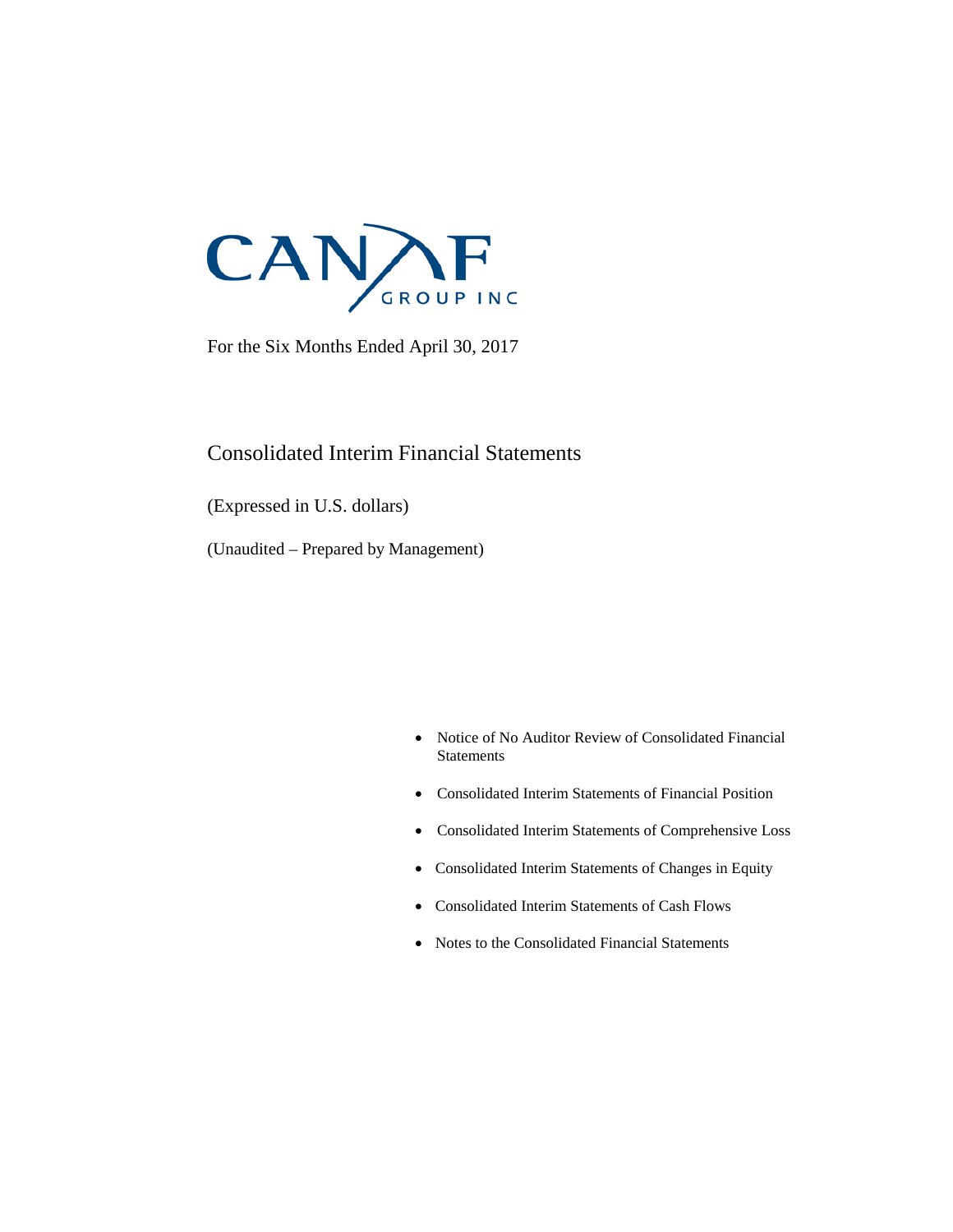

For the Six Months Ended April 30, 2017

# Consolidated Interim Financial Statements

(Expressed in U.S. dollars)

(Unaudited – Prepared by Management)

- Notice of No Auditor Review of Consolidated Financial **Statements**
- Consolidated Interim Statements of Financial Position
- Consolidated Interim Statements of Comprehensive Loss
- Consolidated Interim Statements of Changes in Equity
- Consolidated Interim Statements of Cash Flows
- Notes to the Consolidated Financial Statements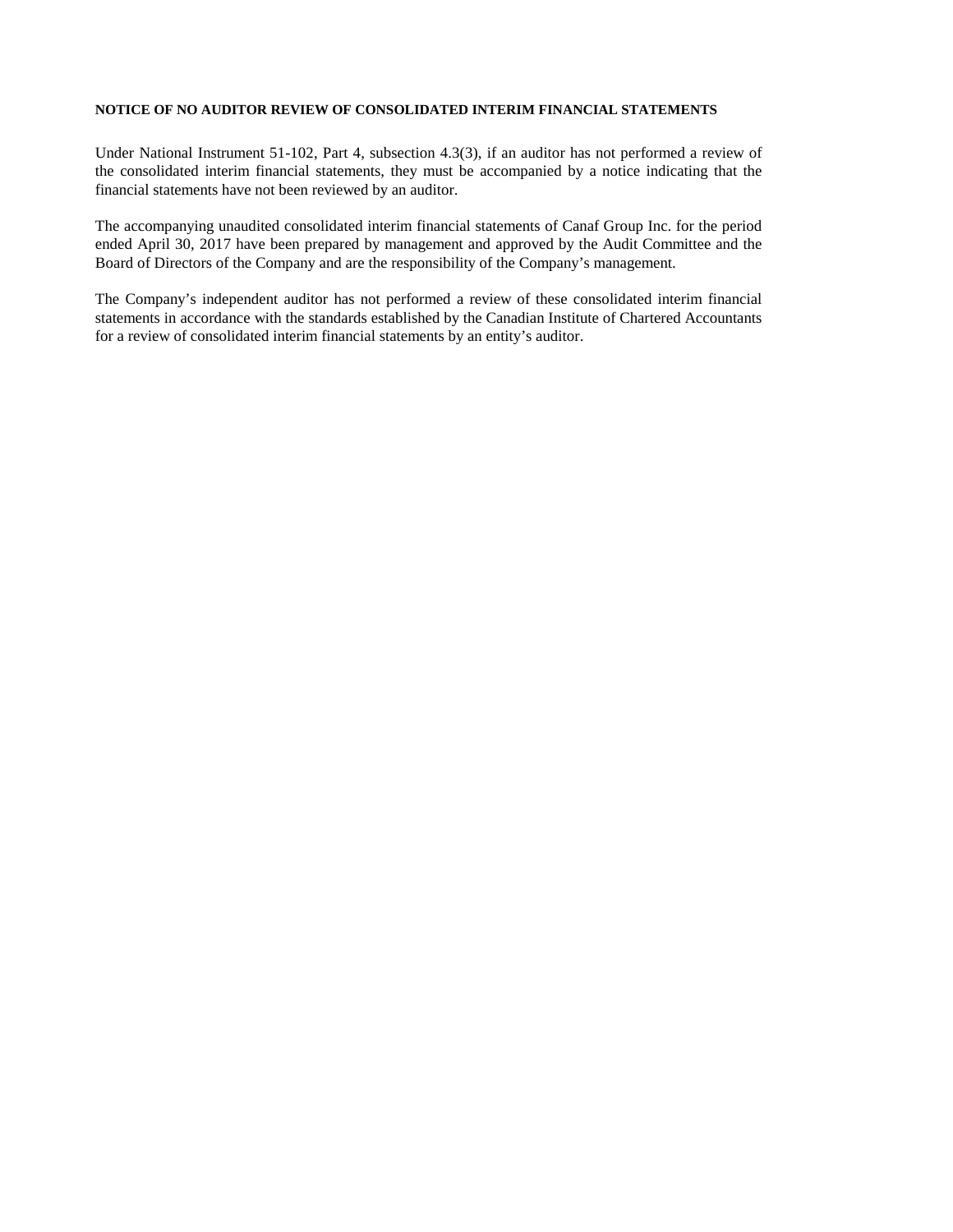#### **NOTICE OF NO AUDITOR REVIEW OF CONSOLIDATED INTERIM FINANCIAL STATEMENTS**

Under National Instrument 51-102, Part 4, subsection 4.3(3), if an auditor has not performed a review of the consolidated interim financial statements, they must be accompanied by a notice indicating that the financial statements have not been reviewed by an auditor.

The accompanying unaudited consolidated interim financial statements of Canaf Group Inc. for the period ended April 30, 2017 have been prepared by management and approved by the Audit Committee and the Board of Directors of the Company and are the responsibility of the Company's management.

The Company's independent auditor has not performed a review of these consolidated interim financial statements in accordance with the standards established by the Canadian Institute of Chartered Accountants for a review of consolidated interim financial statements by an entity's auditor.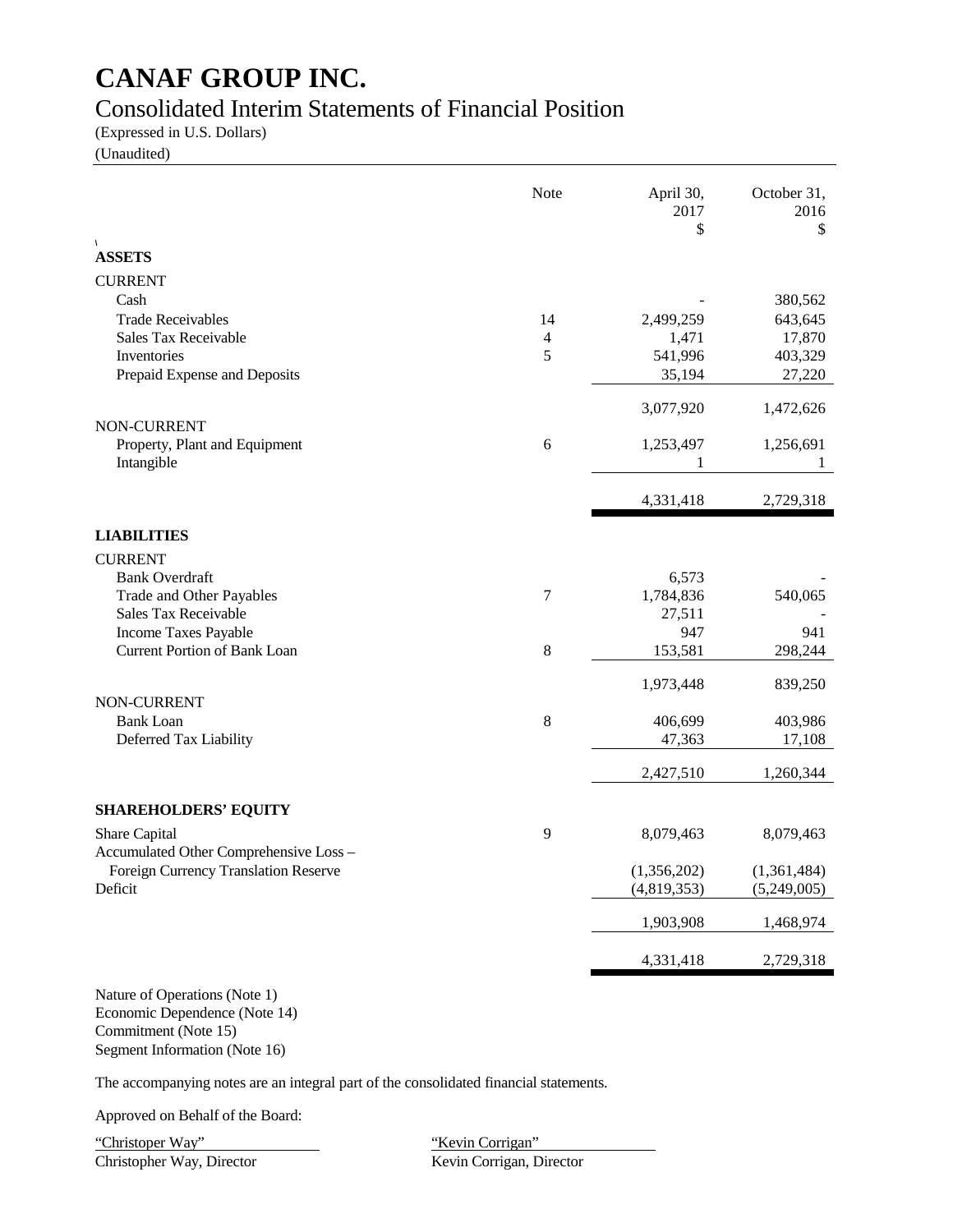# Consolidated Interim Statements of Financial Position

(Expressed in U.S. Dollars)

(Unaudited)

|                                        | Note           | April 30,<br>2017<br>\$ | October 31,<br>2016<br>$\mathcal{S}$ |
|----------------------------------------|----------------|-------------------------|--------------------------------------|
| $\sqrt{2}$<br><b>ASSETS</b>            |                |                         |                                      |
| <b>CURRENT</b>                         |                |                         |                                      |
| Cash                                   |                |                         | 380,562                              |
| <b>Trade Receivables</b>               | 14             | 2,499,259               | 643,645                              |
| Sales Tax Receivable                   | $\overline{4}$ | 1,471                   | 17,870                               |
| Inventories                            | 5              | 541,996                 | 403,329                              |
| Prepaid Expense and Deposits           |                | 35,194                  | 27,220                               |
|                                        |                | 3,077,920               | 1,472,626                            |
| <b>NON-CURRENT</b>                     |                |                         |                                      |
| Property, Plant and Equipment          | 6              | 1,253,497               | 1,256,691                            |
| Intangible                             |                | 1                       | 1                                    |
|                                        |                | 4,331,418               | 2,729,318                            |
| <b>LIABILITIES</b>                     |                |                         |                                      |
| <b>CURRENT</b>                         |                |                         |                                      |
| <b>Bank Overdraft</b>                  |                | 6,573                   |                                      |
| Trade and Other Payables               | 7              | 1,784,836               | 540,065                              |
| Sales Tax Receivable                   |                | 27,511                  |                                      |
| Income Taxes Payable                   |                | 947                     | 941                                  |
| <b>Current Portion of Bank Loan</b>    | 8              | 153,581                 | 298,244                              |
|                                        |                | 1,973,448               | 839,250                              |
| NON-CURRENT<br><b>Bank Loan</b>        | 8              | 406,699                 | 403,986                              |
| Deferred Tax Liability                 |                | 47,363                  | 17,108                               |
|                                        |                | 2,427,510               | 1,260,344                            |
|                                        |                |                         |                                      |
| <b>SHAREHOLDERS' EQUITY</b>            |                |                         |                                      |
| Share Capital                          | 9              | 8,079,463               | 8,079,463                            |
| Accumulated Other Comprehensive Loss - |                |                         |                                      |
| Foreign Currency Translation Reserve   |                | (1,356,202)             | (1,361,484)                          |
| Deficit                                |                | (4,819,353)             | (5,249,005)                          |
|                                        |                | 1,903,908               | 1,468,974                            |
|                                        |                | 4,331,418               | 2,729,318                            |
|                                        |                |                         |                                      |

Nature of Operations (Note 1) Economic Dependence (Note 14) Commitment (Note 15) Segment Information (Note 16)

The accompanying notes are an integral part of the consolidated financial statements.

Approved on Behalf of the Board:

"Christoper Way" "Kevin Corrigan" Christopher Way, Director Kevin Corrigan, Director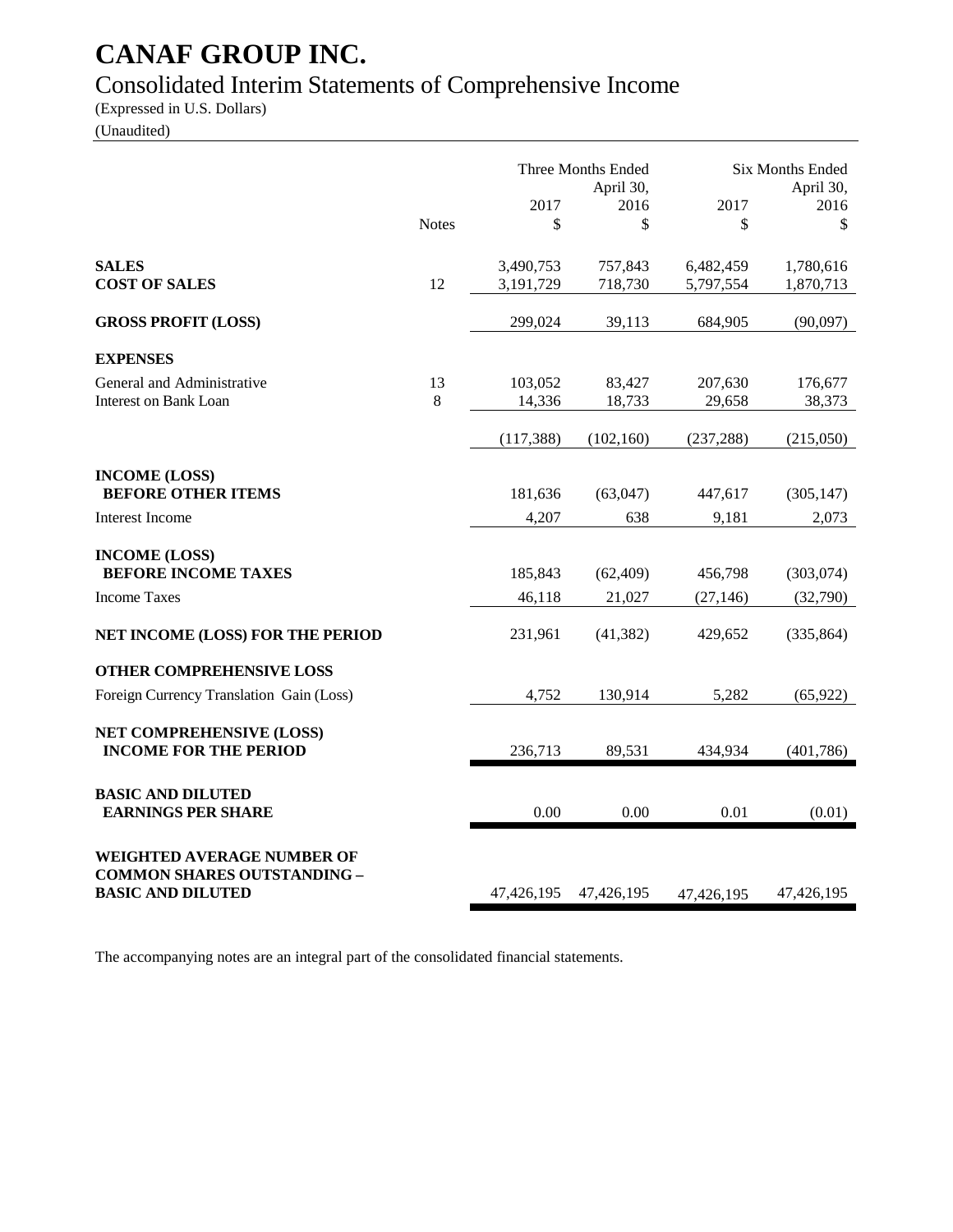# Consolidated Interim Statements of Comprehensive Income

(Expressed in U.S. Dollars)

(Unaudited)

|                                                                                                     |              |                        | Three Months Ended<br>April 30, | <b>Six Months Ended</b><br>April 30, |                        |
|-----------------------------------------------------------------------------------------------------|--------------|------------------------|---------------------------------|--------------------------------------|------------------------|
|                                                                                                     | <b>Notes</b> | 2017<br>\$             | 2016<br>\$                      | 2017<br>\$                           | 2016<br>\$             |
| <b>SALES</b><br><b>COST OF SALES</b>                                                                | 12           | 3,490,753<br>3,191,729 | 757,843<br>718,730              | 6,482,459<br>5,797,554               | 1,780,616<br>1,870,713 |
| <b>GROSS PROFIT (LOSS)</b>                                                                          |              | 299,024                | 39,113                          | 684,905                              | (90,097)               |
| <b>EXPENSES</b>                                                                                     |              |                        |                                 |                                      |                        |
| General and Administrative<br>Interest on Bank Loan                                                 | 13<br>8      | 103,052<br>14,336      | 83,427<br>18,733                | 207,630<br>29,658                    | 176,677<br>38,373      |
|                                                                                                     |              | (117, 388)             | (102, 160)                      | (237, 288)                           | (215,050)              |
| <b>INCOME (LOSS)</b><br><b>BEFORE OTHER ITEMS</b>                                                   |              | 181,636                | (63,047)                        | 447,617                              | (305, 147)             |
| <b>Interest Income</b>                                                                              |              | 4,207                  | 638                             | 9,181                                | 2,073                  |
| <b>INCOME (LOSS)</b>                                                                                |              |                        |                                 |                                      |                        |
| <b>BEFORE INCOME TAXES</b>                                                                          |              | 185,843                | (62, 409)                       | 456,798                              | (303,074)              |
| <b>Income Taxes</b>                                                                                 |              | 46,118                 | 21,027                          | (27, 146)                            | (32,790)               |
| NET INCOME (LOSS) FOR THE PERIOD                                                                    |              | 231,961                | (41, 382)                       | 429,652                              | (335, 864)             |
| <b>OTHER COMPREHENSIVE LOSS</b>                                                                     |              |                        |                                 |                                      |                        |
| Foreign Currency Translation Gain (Loss)                                                            |              | 4,752                  | 130,914                         | 5,282                                | (65, 922)              |
| <b>NET COMPREHENSIVE (LOSS)</b><br><b>INCOME FOR THE PERIOD</b>                                     |              | 236,713                | 89,531                          | 434,934                              | (401,786)              |
| <b>BASIC AND DILUTED</b><br><b>EARNINGS PER SHARE</b>                                               |              | 0.00                   | 0.00                            | 0.01                                 | (0.01)                 |
| <b>WEIGHTED AVERAGE NUMBER OF</b><br><b>COMMON SHARES OUTSTANDING -</b><br><b>BASIC AND DILUTED</b> |              | 47,426,195             | 47,426,195                      | 47,426,195                           | 47,426,195             |

The accompanying notes are an integral part of the consolidated financial statements.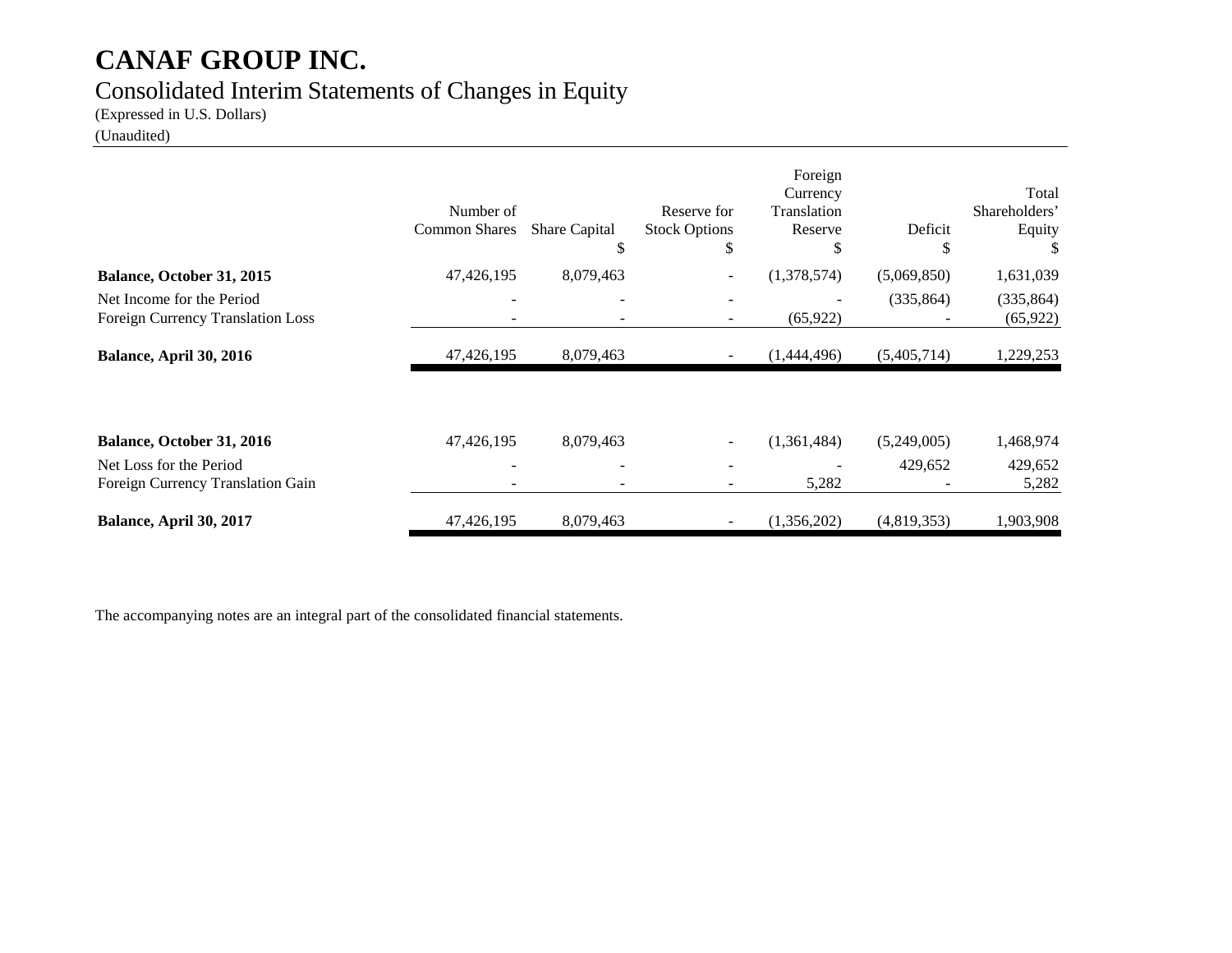# Consolidated Interim Statements of Changes in Equity

(Expressed in U.S. Dollars)

(Unaudited)

|                                                                | Number of<br><b>Common Shares</b> | Share Capital<br>S       | Reserve for<br><b>Stock Options</b><br>S | Foreign<br>Currency<br>Translation<br>Reserve<br>S | Deficit<br>S | Total<br>Shareholders'<br>Equity |
|----------------------------------------------------------------|-----------------------------------|--------------------------|------------------------------------------|----------------------------------------------------|--------------|----------------------------------|
| Balance, October 31, 2015                                      | 47,426,195                        | 8,079,463                |                                          | (1,378,574)                                        | (5,069,850)  | 1,631,039                        |
| Net Income for the Period<br>Foreign Currency Translation Loss | $\overline{\phantom{a}}$          | $\overline{\phantom{0}}$ |                                          | (65, 922)                                          | (335, 864)   | (335, 864)<br>(65, 922)          |
| Balance, April 30, 2016                                        | 47,426,195                        | 8,079,463                |                                          | (1,444,496)                                        | (5,405,714)  | 1,229,253                        |
| Balance, October 31, 2016                                      | 47,426,195                        | 8,079,463                |                                          | (1,361,484)                                        | (5,249,005)  | 1,468,974                        |
|                                                                |                                   |                          |                                          |                                                    |              |                                  |
| Net Loss for the Period<br>Foreign Currency Translation Gain   | -                                 |                          |                                          | 5,282                                              | 429,652      | 429,652<br>5,282                 |
| Balance, April 30, 2017                                        | 47,426,195                        | 8,079,463                |                                          | (1,356,202)                                        | (4,819,353)  | 1,903,908                        |

The accompanying notes are an integral part of the consolidated financial statements.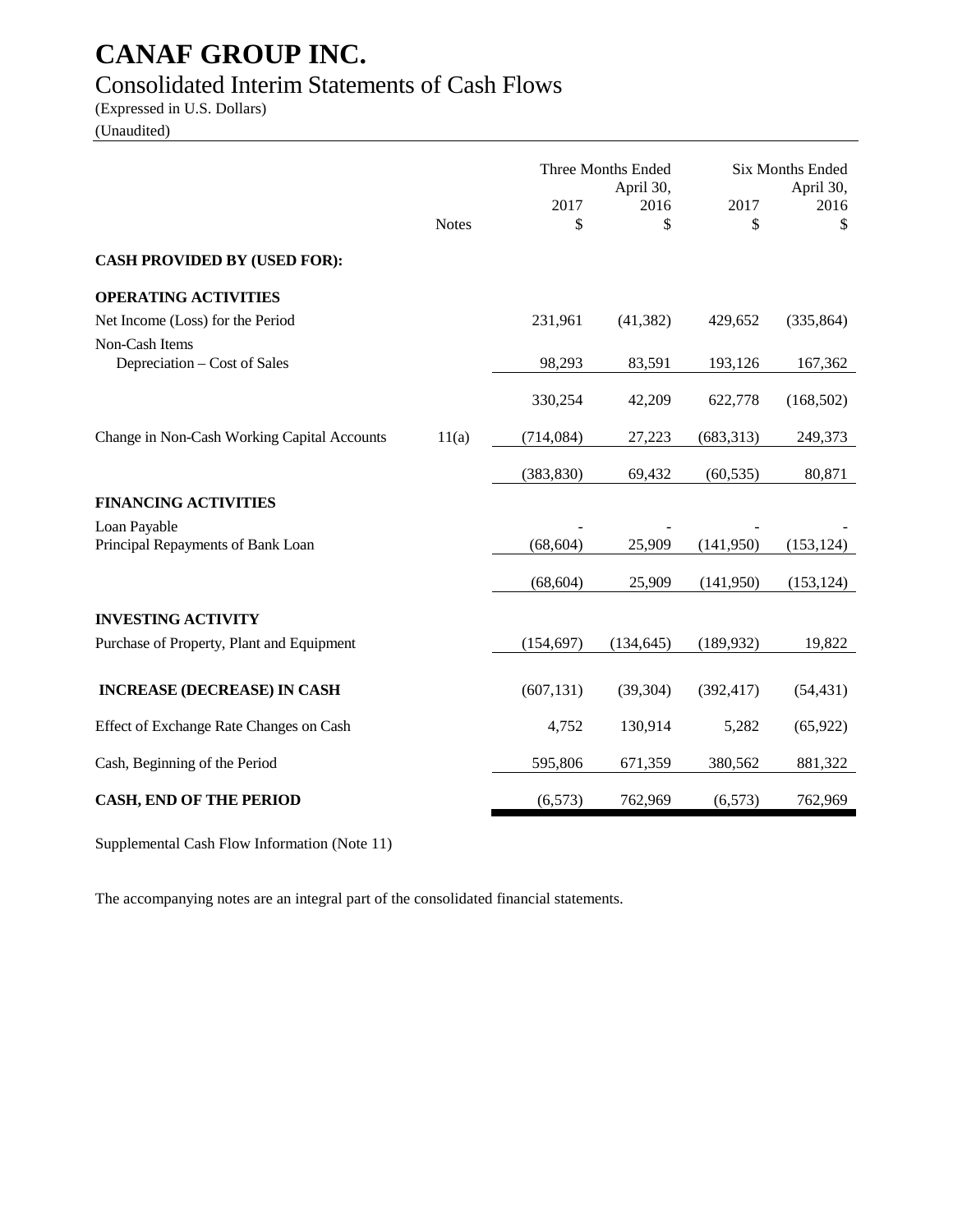# Consolidated Interim Statements of Cash Flows

(Expressed in U.S. Dollars)

(Unaudited)

|                                                |              |            | Three Months Ended<br>April 30, |            | <b>Six Months Ended</b><br>April 30, |
|------------------------------------------------|--------------|------------|---------------------------------|------------|--------------------------------------|
|                                                | <b>Notes</b> | 2017<br>\$ | 2016<br>\$                      | 2017<br>\$ | 2016<br>\$                           |
| <b>CASH PROVIDED BY (USED FOR):</b>            |              |            |                                 |            |                                      |
| <b>OPERATING ACTIVITIES</b>                    |              |            |                                 |            |                                      |
| Net Income (Loss) for the Period               |              | 231,961    | (41, 382)                       | 429,652    | (335, 864)                           |
| Non-Cash Items<br>Depreciation – Cost of Sales |              | 98,293     | 83,591                          | 193,126    | 167,362                              |
|                                                |              | 330,254    | 42,209                          | 622,778    | (168, 502)                           |
| Change in Non-Cash Working Capital Accounts    | 11(a)        | (714, 084) | 27,223                          | (683, 313) | 249,373                              |
|                                                |              | (383, 830) | 69,432                          | (60, 535)  | 80,871                               |
| <b>FINANCING ACTIVITIES</b>                    |              |            |                                 |            |                                      |
| Loan Payable                                   |              |            |                                 |            |                                      |
| Principal Repayments of Bank Loan              |              | (68, 604)  | 25,909                          | (141,950)  | (153, 124)                           |
|                                                |              | (68, 604)  | 25,909                          | (141,950)  | (153, 124)                           |
| <b>INVESTING ACTIVITY</b>                      |              |            |                                 |            |                                      |
| Purchase of Property, Plant and Equipment      |              | (154, 697) | (134, 645)                      | (189, 932) | 19,822                               |
| <b>INCREASE (DECREASE) IN CASH</b>             |              | (607, 131) | (39, 304)                       | (392, 417) | (54, 431)                            |
| Effect of Exchange Rate Changes on Cash        |              | 4,752      | 130,914                         | 5,282      | (65, 922)                            |
| Cash, Beginning of the Period                  |              | 595,806    | 671,359                         | 380,562    | 881,322                              |
| <b>CASH, END OF THE PERIOD</b>                 |              | (6, 573)   | 762,969                         | (6, 573)   | 762,969                              |

Supplemental Cash Flow Information (Note 11)

The accompanying notes are an integral part of the consolidated financial statements.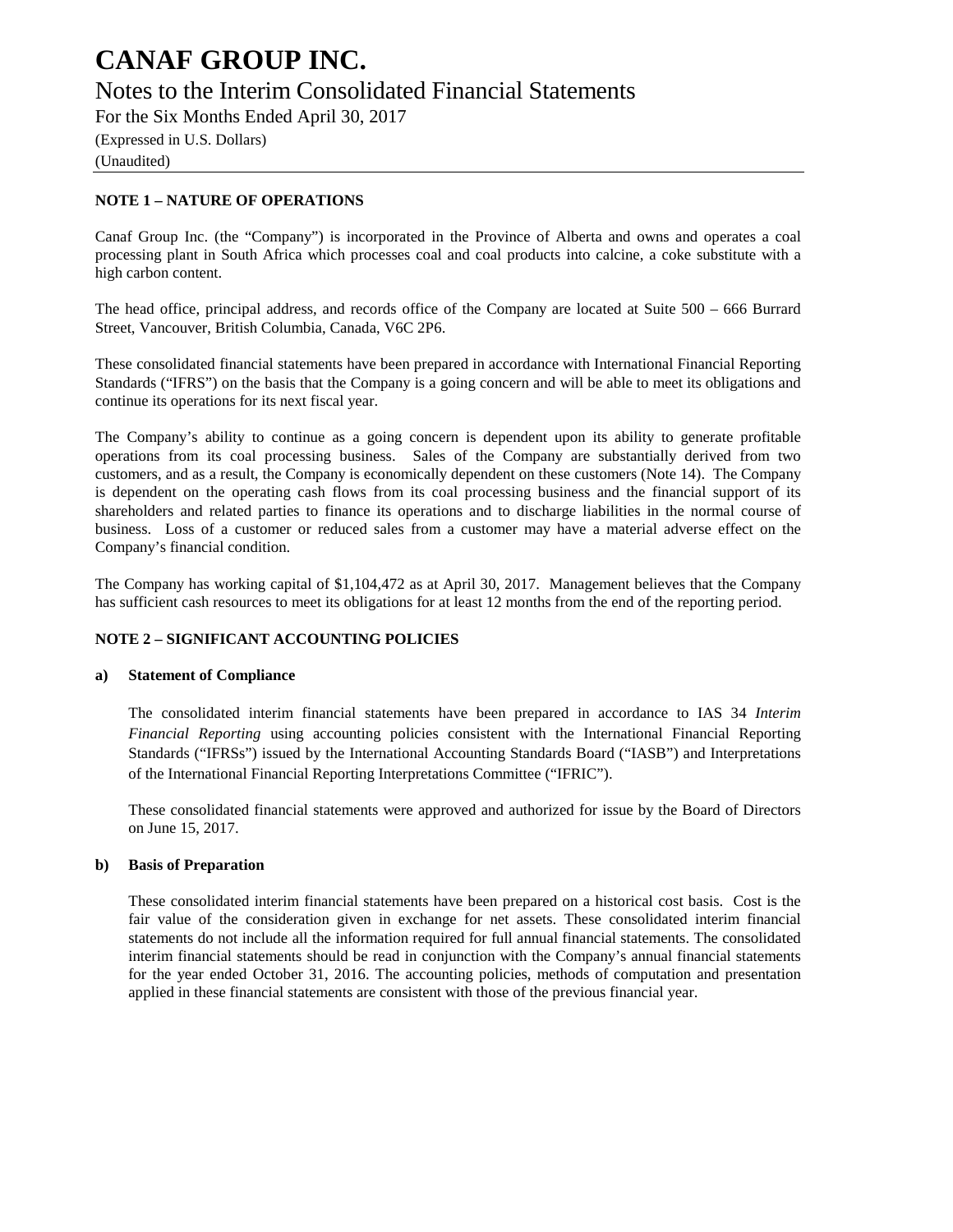# Notes to the Interim Consolidated Financial Statements

For the Six Months Ended April 30, 2017

(Expressed in U.S. Dollars) (Unaudited)

### **NOTE 1 – NATURE OF OPERATIONS**

Canaf Group Inc. (the "Company") is incorporated in the Province of Alberta and owns and operates a coal processing plant in South Africa which processes coal and coal products into calcine, a coke substitute with a high carbon content.

The head office, principal address, and records office of the Company are located at Suite 500 – 666 Burrard Street, Vancouver, British Columbia, Canada, V6C 2P6.

These consolidated financial statements have been prepared in accordance with International Financial Reporting Standards ("IFRS") on the basis that the Company is a going concern and will be able to meet its obligations and continue its operations for its next fiscal year.

The Company's ability to continue as a going concern is dependent upon its ability to generate profitable operations from its coal processing business. Sales of the Company are substantially derived from two customers, and as a result, the Company is economically dependent on these customers (Note 14). The Company is dependent on the operating cash flows from its coal processing business and the financial support of its shareholders and related parties to finance its operations and to discharge liabilities in the normal course of business. Loss of a customer or reduced sales from a customer may have a material adverse effect on the Company's financial condition.

The Company has working capital of \$1,104,472 as at April 30, 2017. Management believes that the Company has sufficient cash resources to meet its obligations for at least 12 months from the end of the reporting period.

### **NOTE 2 – SIGNIFICANT ACCOUNTING POLICIES**

### **a) Statement of Compliance**

The consolidated interim financial statements have been prepared in accordance to IAS 34 *Interim Financial Reporting* using accounting policies consistent with the International Financial Reporting Standards ("IFRSs") issued by the International Accounting Standards Board ("IASB") and Interpretations of the International Financial Reporting Interpretations Committee ("IFRIC").

These consolidated financial statements were approved and authorized for issue by the Board of Directors on June 15, 2017.

### **b) Basis of Preparation**

These consolidated interim financial statements have been prepared on a historical cost basis. Cost is the fair value of the consideration given in exchange for net assets. These consolidated interim financial statements do not include all the information required for full annual financial statements. The consolidated interim financial statements should be read in conjunction with the Company's annual financial statements for the year ended October 31, 2016. The accounting policies, methods of computation and presentation applied in these financial statements are consistent with those of the previous financial year.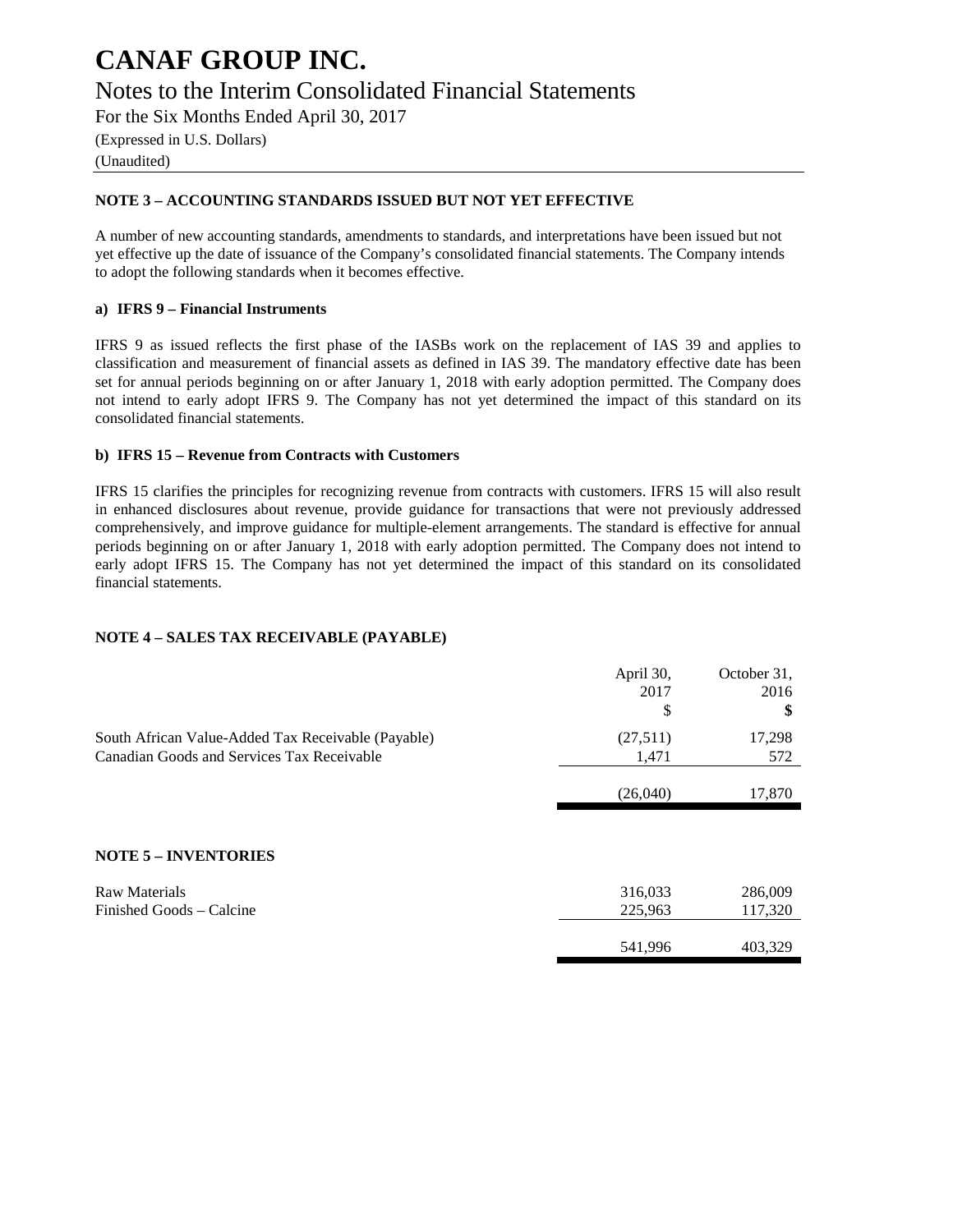Notes to the Interim Consolidated Financial Statements

For the Six Months Ended April 30, 2017

(Expressed in U.S. Dollars)

## (Unaudited)

### **NOTE 3 – ACCOUNTING STANDARDS ISSUED BUT NOT YET EFFECTIVE**

A number of new accounting standards, amendments to standards, and interpretations have been issued but not yet effective up the date of issuance of the Company's consolidated financial statements. The Company intends to adopt the following standards when it becomes effective.

### **a) IFRS 9 – Financial Instruments**

IFRS 9 as issued reflects the first phase of the IASBs work on the replacement of IAS 39 and applies to classification and measurement of financial assets as defined in IAS 39. The mandatory effective date has been set for annual periods beginning on or after January 1, 2018 with early adoption permitted. The Company does not intend to early adopt IFRS 9. The Company has not yet determined the impact of this standard on its consolidated financial statements.

### **b) IFRS 15 – Revenue from Contracts with Customers**

IFRS 15 clarifies the principles for recognizing revenue from contracts with customers. IFRS 15 will also result in enhanced disclosures about revenue, provide guidance for transactions that were not previously addressed comprehensively, and improve guidance for multiple-element arrangements. The standard is effective for annual periods beginning on or after January 1, 2018 with early adoption permitted. The Company does not intend to early adopt IFRS 15. The Company has not yet determined the impact of this standard on its consolidated financial statements.

### **NOTE 4 – SALES TAX RECEIVABLE (PAYABLE)**

|                                                                                                  | April 30,<br>2017<br>\$ | October 31,<br>2016<br>\$ |
|--------------------------------------------------------------------------------------------------|-------------------------|---------------------------|
| South African Value-Added Tax Receivable (Payable)<br>Canadian Goods and Services Tax Receivable | (27,511)<br>1,471       | 17,298<br>572             |
|                                                                                                  | (26,040)                | 17,870                    |
|                                                                                                  |                         |                           |
| <b>NOTE 5 - INVENTORIES</b>                                                                      |                         |                           |
| <b>Raw Materials</b><br>Finished Goods – Calcine                                                 | 316,033<br>225,963      | 286,009<br>117,320        |
|                                                                                                  | 541,996                 | 403.329                   |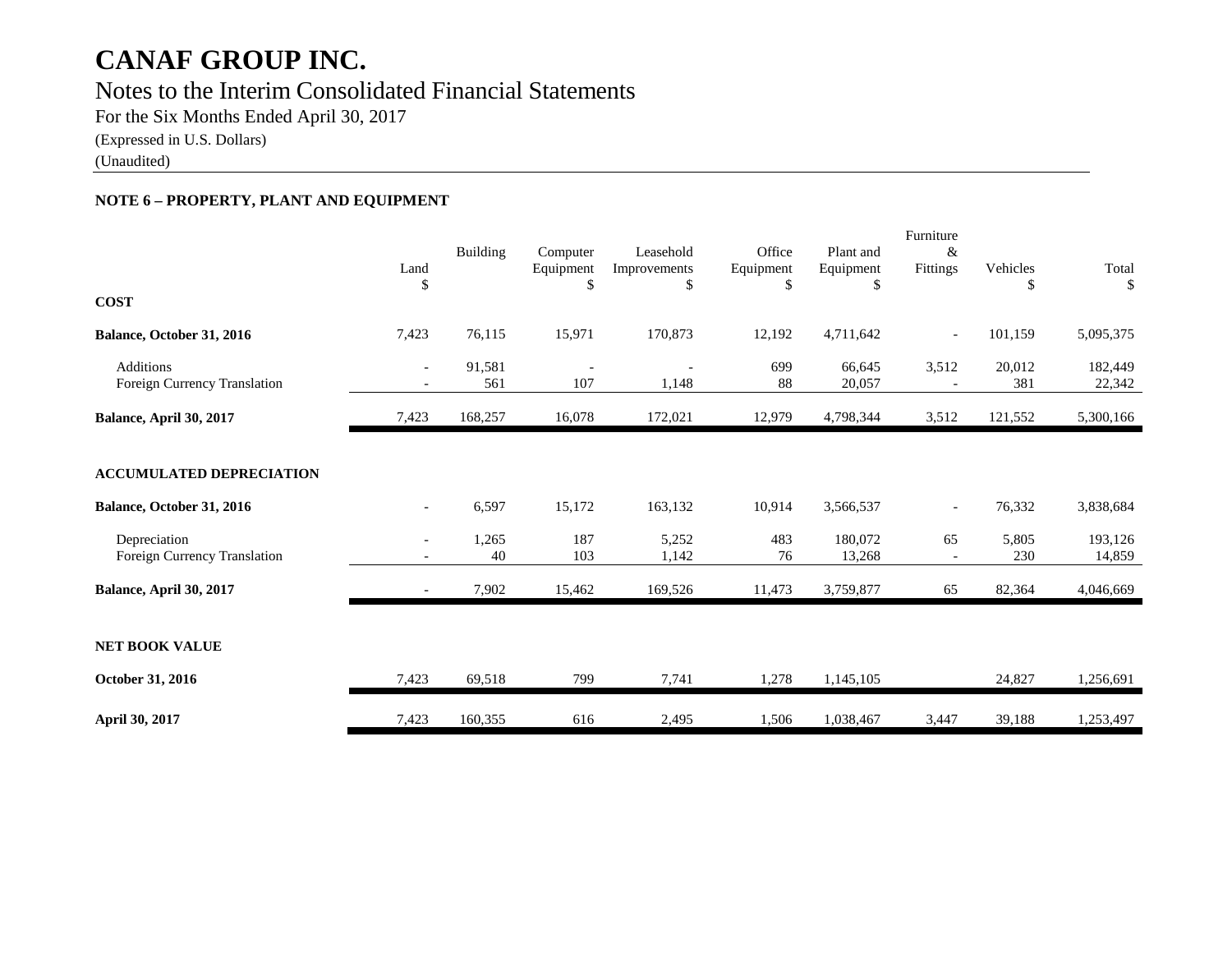# Notes to the Interim Consolidated Financial Statements

For the Six Months Ended April 30, 2017

(Expressed in U.S. Dollars)

(Unaudited)

## **NOTE 6 – PROPERTY, PLANT AND EQUIPMENT**

| <b>COST</b>                                      | Land<br>\$               | Building      | Computer<br>Equipment<br>\$     | Leasehold<br>Improvements<br>\$ | Office<br>Equipment<br>\$ | Plant and<br>Equipment<br>\$ | Furniture<br>&<br>Fittings     | Vehicles<br>\$ | Total<br>\$       |
|--------------------------------------------------|--------------------------|---------------|---------------------------------|---------------------------------|---------------------------|------------------------------|--------------------------------|----------------|-------------------|
| Balance, October 31, 2016                        | 7,423                    | 76,115        | 15,971                          | 170,873                         | 12,192                    | 4,711,642                    | $\overline{\phantom{a}}$       | 101,159        | 5,095,375         |
| <b>Additions</b><br>Foreign Currency Translation | $-$                      | 91,581<br>561 | $\overline{\phantom{a}}$<br>107 | 1,148                           | 699<br>88                 | 66,645<br>20,057             | 3,512                          | 20,012<br>381  | 182,449<br>22,342 |
| Balance, April 30, 2017                          | 7,423                    | 168,257       | 16,078                          | 172,021                         | 12,979                    | 4,798,344                    | 3,512                          | 121,552        | 5,300,166         |
| <b>ACCUMULATED DEPRECIATION</b>                  |                          |               |                                 |                                 |                           |                              |                                |                |                   |
| Balance, October 31, 2016                        | $\overline{\phantom{a}}$ | 6,597         | 15,172                          | 163,132                         | 10,914                    | 3,566,537                    | $\overline{\phantom{a}}$       | 76,332         | 3,838,684         |
| Depreciation<br>Foreign Currency Translation     | $\overline{\phantom{a}}$ | 1,265<br>40   | 187<br>103                      | 5,252<br>1,142                  | 483<br>76                 | 180,072<br>13,268            | 65<br>$\overline{\phantom{a}}$ | 5,805<br>230   | 193,126<br>14,859 |
| Balance, April 30, 2017                          |                          | 7,902         | 15,462                          | 169,526                         | 11,473                    | 3,759,877                    | 65                             | 82,364         | 4,046,669         |
| <b>NET BOOK VALUE</b>                            |                          |               |                                 |                                 |                           |                              |                                |                |                   |
| October 31, 2016                                 | 7,423                    | 69,518        | 799                             | 7,741                           | 1,278                     | 1,145,105                    |                                | 24,827         | 1,256,691         |
| April 30, 2017                                   | 7,423                    | 160,355       | 616                             | 2,495                           | 1,506                     | 1,038,467                    | 3,447                          | 39,188         | 1,253,497         |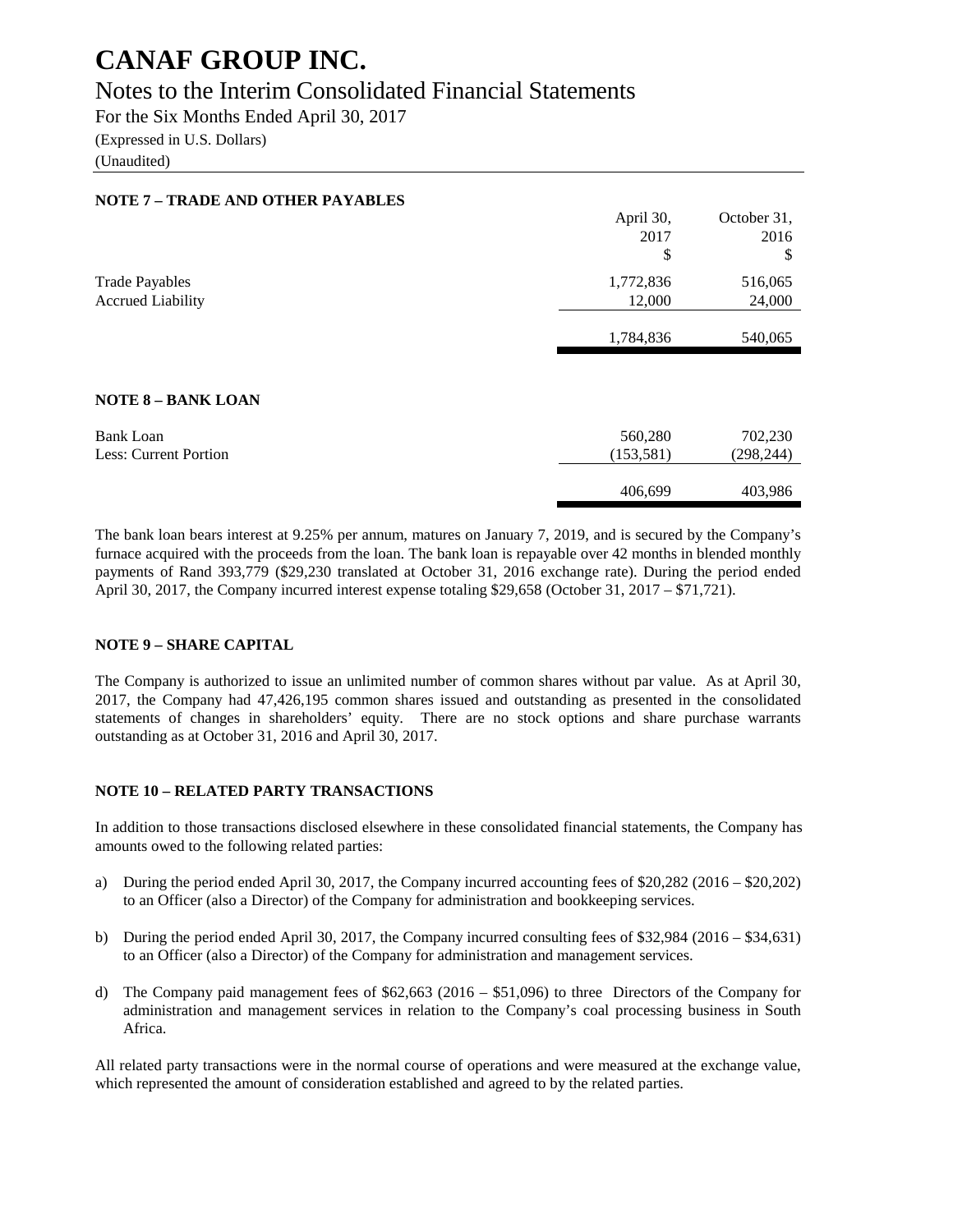## Notes to the Interim Consolidated Financial Statements

For the Six Months Ended April 30, 2017

(Expressed in U.S. Dollars)

(Unaudited)

| <b>NOTE 7 - TRADE AND OTHER PAYABLES</b> |            |             |
|------------------------------------------|------------|-------------|
|                                          | April 30,  | October 31, |
|                                          | 2017       | 2016        |
|                                          | \$         | \$          |
| <b>Trade Payables</b>                    | 1,772,836  | 516,065     |
| <b>Accrued Liability</b>                 | 12,000     | 24,000      |
|                                          |            |             |
|                                          | 1,784,836  | 540,065     |
|                                          |            |             |
| <b>NOTE 8 - BANK LOAN</b>                |            |             |
| Bank Loan                                | 560,280    | 702,230     |
| Less: Current Portion                    | (153, 581) | (298, 244)  |
|                                          |            |             |
|                                          | 406,699    | 403,986     |

The bank loan bears interest at 9.25% per annum, matures on January 7, 2019, and is secured by the Company's furnace acquired with the proceeds from the loan. The bank loan is repayable over 42 months in blended monthly payments of Rand 393,779 (\$29,230 translated at October 31, 2016 exchange rate). During the period ended April 30, 2017, the Company incurred interest expense totaling \$29,658 (October 31, 2017 – \$71,721).

### **NOTE 9 – SHARE CAPITAL**

The Company is authorized to issue an unlimited number of common shares without par value. As at April 30, 2017, the Company had 47,426,195 common shares issued and outstanding as presented in the consolidated statements of changes in shareholders' equity. There are no stock options and share purchase warrants outstanding as at October 31, 2016 and April 30, 2017.

### **NOTE 10 – RELATED PARTY TRANSACTIONS**

In addition to those transactions disclosed elsewhere in these consolidated financial statements, the Company has amounts owed to the following related parties:

- a) During the period ended April 30, 2017, the Company incurred accounting fees of \$20,282 (2016 \$20,202) to an Officer (also a Director) of the Company for administration and bookkeeping services.
- b) During the period ended April 30, 2017, the Company incurred consulting fees of \$32,984 (2016 \$34,631) to an Officer (also a Director) of the Company for administration and management services.
- d) The Company paid management fees of \$62,663 (2016 \$51,096) to three Directors of the Company for administration and management services in relation to the Company's coal processing business in South Africa.

All related party transactions were in the normal course of operations and were measured at the exchange value, which represented the amount of consideration established and agreed to by the related parties.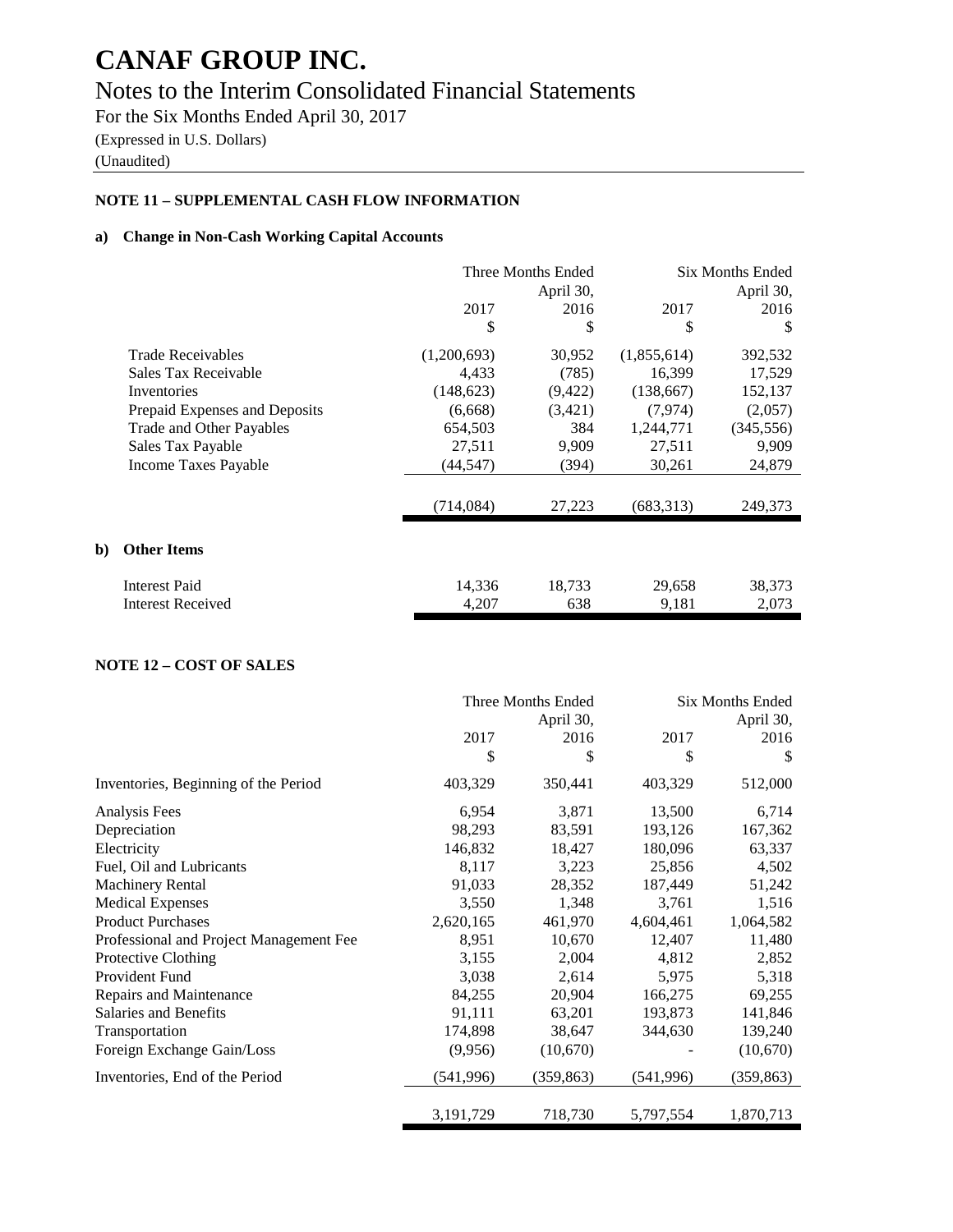# Notes to the Interim Consolidated Financial Statements

For the Six Months Ended April 30, 2017 (Expressed in U.S. Dollars)

(Unaudited)

**b**)

## **NOTE 11 – SUPPLEMENTAL CASH FLOW INFORMATION**

### **a) Change in Non-Cash Working Capital Accounts**

|                               | Three Months Ended<br>April 30, |          | <b>Six Months Ended</b><br>April 30, |            |
|-------------------------------|---------------------------------|----------|--------------------------------------|------------|
|                               | 2017                            | 2016     | 2017                                 | 2016       |
|                               | \$                              | \$       | \$                                   | \$         |
| <b>Trade Receivables</b>      | (1,200,693)                     | 30,952   | (1,855,614)                          | 392,532    |
| Sales Tax Receivable          | 4,433                           | (785)    | 16,399                               | 17,529     |
| Inventories                   | (148, 623)                      | (9, 422) | (138, 667)                           | 152,137    |
| Prepaid Expenses and Deposits | (6,668)                         | (3,421)  | (7,974)                              | (2,057)    |
| Trade and Other Payables      | 654,503                         | 384      | 1,244,771                            | (345, 556) |
| Sales Tax Payable             | 27,511                          | 9,909    | 27,511                               | 9,909      |
| Income Taxes Payable          | (44, 547)                       | (394)    | 30,261                               | 24,879     |
|                               | (714,084)                       | 27,223   | (683, 313)                           | 249,373    |
|                               |                                 |          |                                      |            |
| <b>Other Items</b>            |                                 |          |                                      |            |
| <b>Interest Paid</b>          | 14,336                          | 18,733   | 29,658                               | 38,373     |
| <b>Interest Received</b>      | 4,207                           | 638      | 9,181                                | 2,073      |

### **NOTE 12 – COST OF SALES**

|                                         |            | Three Months Ended | <b>Six Months Ended</b> |            |
|-----------------------------------------|------------|--------------------|-------------------------|------------|
|                                         |            | April 30,          |                         | April 30,  |
|                                         | 2017       | 2016               | 2017                    | 2016       |
|                                         | \$         | \$                 | \$                      | S          |
| Inventories, Beginning of the Period    | 403,329    | 350,441            | 403,329                 | 512,000    |
| Analysis Fees                           | 6,954      | 3,871              | 13,500                  | 6,714      |
| Depreciation                            | 98,293     | 83,591             | 193,126                 | 167,362    |
| Electricity                             | 146,832    | 18,427             | 180,096                 | 63,337     |
| Fuel, Oil and Lubricants                | 8,117      | 3,223              | 25,856                  | 4,502      |
| <b>Machinery Rental</b>                 | 91,033     | 28,352             | 187,449                 | 51,242     |
| <b>Medical Expenses</b>                 | 3,550      | 1,348              | 3,761                   | 1,516      |
| <b>Product Purchases</b>                | 2,620,165  | 461,970            | 4,604,461               | 1,064,582  |
| Professional and Project Management Fee | 8,951      | 10,670             | 12,407                  | 11,480     |
| Protective Clothing                     | 3,155      | 2,004              | 4,812                   | 2,852      |
| Provident Fund                          | 3,038      | 2,614              | 5,975                   | 5,318      |
| Repairs and Maintenance                 | 84,255     | 20,904             | 166,275                 | 69,255     |
| Salaries and Benefits                   | 91,111     | 63,201             | 193,873                 | 141,846    |
| Transportation                          | 174,898    | 38,647             | 344,630                 | 139,240    |
| Foreign Exchange Gain/Loss              | (9,956)    | (10,670)           |                         | (10,670)   |
| Inventories, End of the Period          | (541, 996) | (359, 863)         | (541, 996)              | (359, 863) |
|                                         | 3,191,729  | 718,730            | 5,797,554               | 1,870,713  |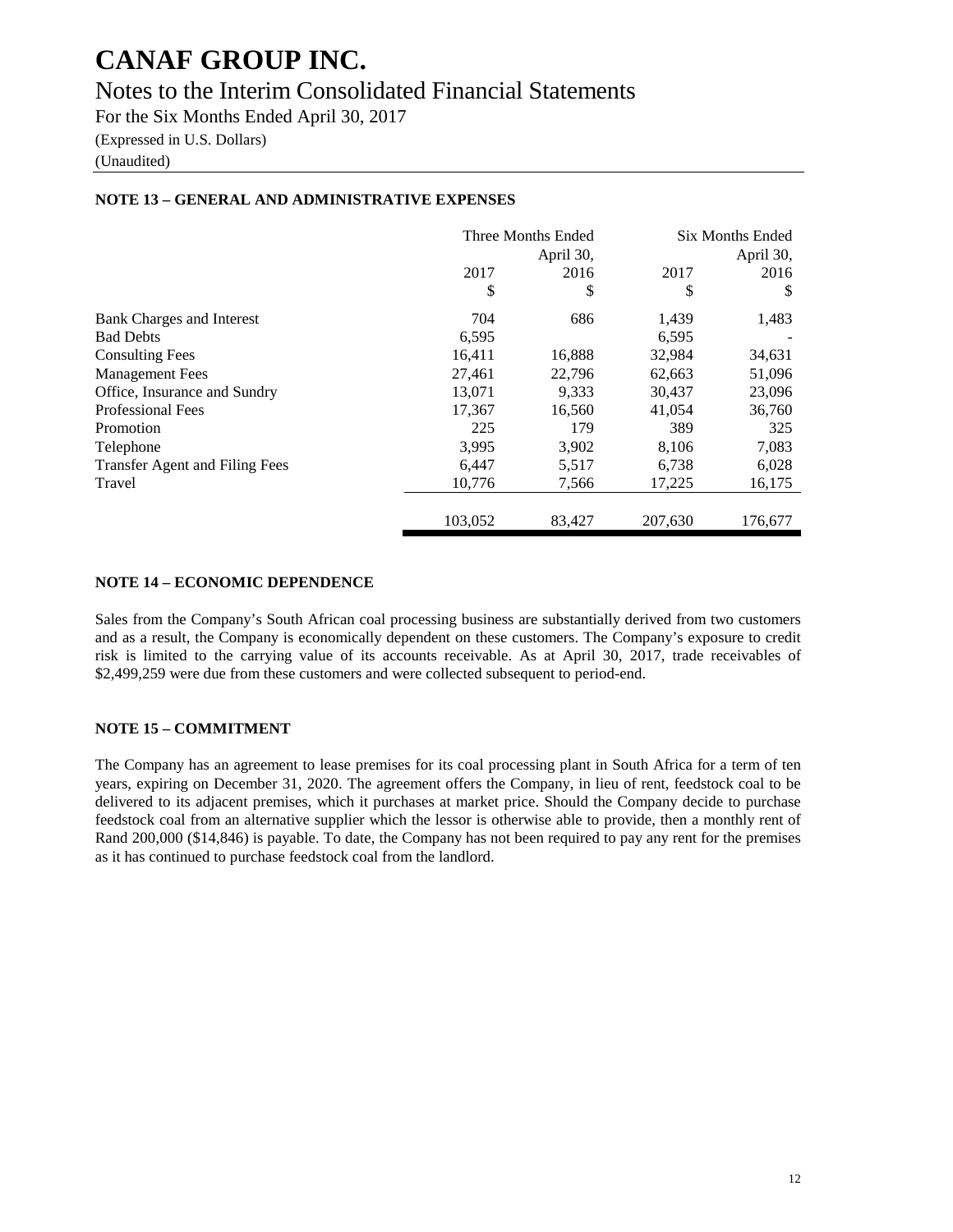## Notes to the Interim Consolidated Financial Statements

For the Six Months Ended April 30, 2017

(Expressed in U.S. Dollars)

(Unaudited)

### **NOTE 13 – GENERAL AND ADMINISTRATIVE EXPENSES**

|                                       |         | Three Months Ended | <b>Six Months Ended</b> |         |
|---------------------------------------|---------|--------------------|-------------------------|---------|
|                                       |         | April 30,          | April 30,               |         |
|                                       | 2017    | 2016               | 2017                    | 2016    |
|                                       | \$      | \$                 | \$                      | S       |
| Bank Charges and Interest             | 704     | 686                | 1,439                   | 1,483   |
| <b>Bad Debts</b>                      | 6,595   |                    | 6,595                   |         |
| <b>Consulting Fees</b>                | 16,411  | 16,888             | 32,984                  | 34,631  |
| <b>Management Fees</b>                | 27,461  | 22,796             | 62,663                  | 51,096  |
| Office, Insurance and Sundry          | 13.071  | 9,333              | 30,437                  | 23,096  |
| <b>Professional Fees</b>              | 17,367  | 16,560             | 41,054                  | 36,760  |
| Promotion                             | 225     | 179                | 389                     | 325     |
| Telephone                             | 3,995   | 3,902              | 8,106                   | 7,083   |
| <b>Transfer Agent and Filing Fees</b> | 6,447   | 5,517              | 6,738                   | 6,028   |
| Travel                                | 10,776  | 7,566              | 17,225                  | 16,175  |
|                                       |         |                    |                         |         |
|                                       | 103,052 | 83,427             | 207,630                 | 176,677 |

### **NOTE 14 – ECONOMIC DEPENDENCE**

Sales from the Company's South African coal processing business are substantially derived from two customers and as a result, the Company is economically dependent on these customers. The Company's exposure to credit risk is limited to the carrying value of its accounts receivable. As at April 30, 2017, trade receivables of \$2,499,259 were due from these customers and were collected subsequent to period-end.

## **NOTE 15 – COMMITMENT**

The Company has an agreement to lease premises for its coal processing plant in South Africa for a term of ten years, expiring on December 31, 2020. The agreement offers the Company, in lieu of rent, feedstock coal to be delivered to its adjacent premises, which it purchases at market price. Should the Company decide to purchase feedstock coal from an alternative supplier which the lessor is otherwise able to provide, then a monthly rent of Rand 200,000 (\$14,846) is payable. To date, the Company has not been required to pay any rent for the premises as it has continued to purchase feedstock coal from the landlord.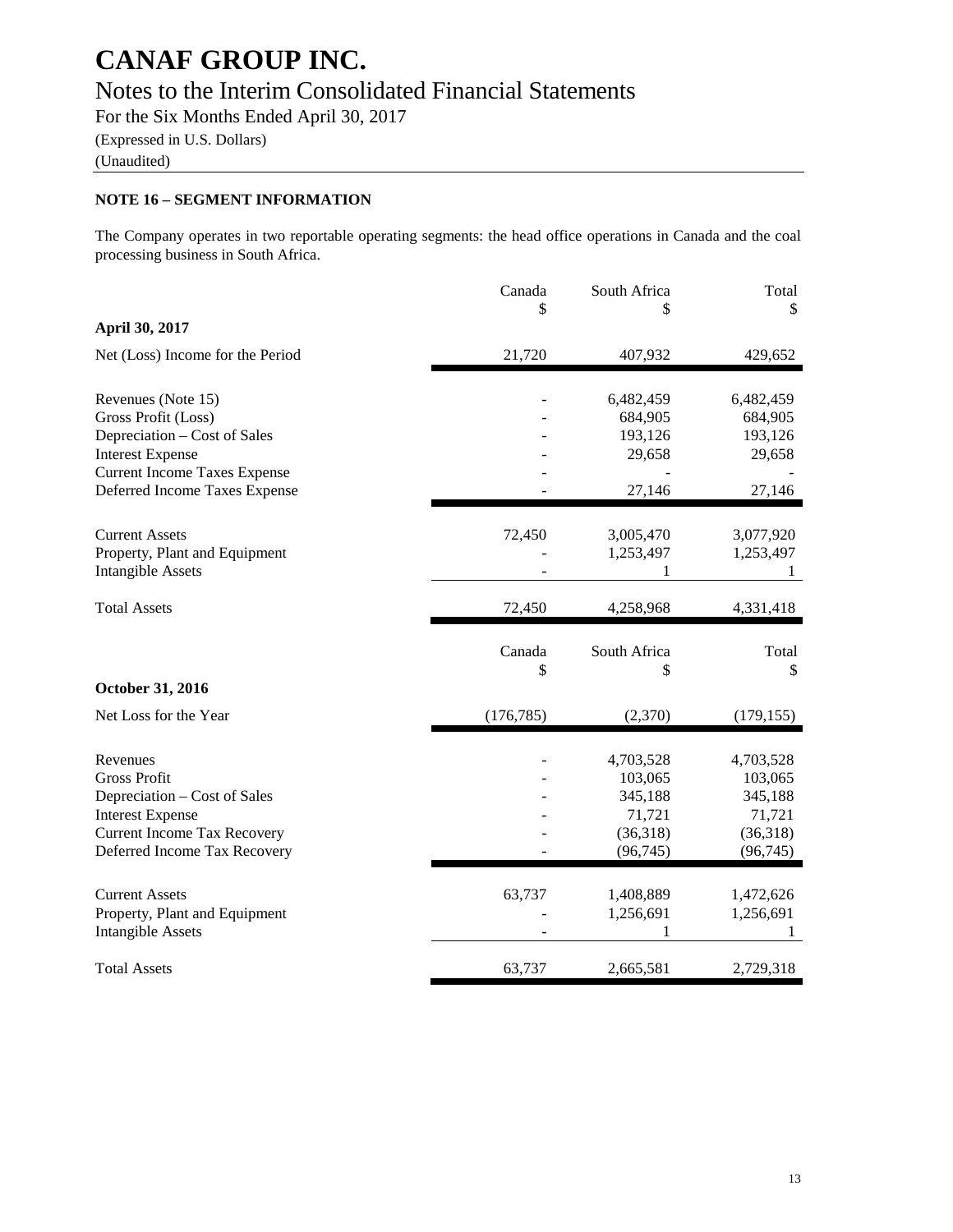# Notes to the Interim Consolidated Financial Statements

For the Six Months Ended April 30, 2017

(Expressed in U.S. Dollars)

(Unaudited)

## **NOTE 16 – SEGMENT INFORMATION**

The Company operates in two reportable operating segments: the head office operations in Canada and the coal processing business in South Africa.

|                                                                                                                                                                              | Canada<br>\$ | South Africa<br>S                                                  | Total<br>\$                                                        |
|------------------------------------------------------------------------------------------------------------------------------------------------------------------------------|--------------|--------------------------------------------------------------------|--------------------------------------------------------------------|
| April 30, 2017                                                                                                                                                               |              |                                                                    |                                                                    |
| Net (Loss) Income for the Period                                                                                                                                             | 21,720       | 407,932                                                            | 429,652                                                            |
| Revenues (Note 15)<br>Gross Profit (Loss)<br>Depreciation – Cost of Sales<br><b>Interest Expense</b><br><b>Current Income Taxes Expense</b><br>Deferred Income Taxes Expense |              | 6,482,459<br>684,905<br>193,126<br>29,658<br>27,146                | 6,482,459<br>684,905<br>193,126<br>29,658<br>27,146                |
| <b>Current Assets</b><br>Property, Plant and Equipment<br><b>Intangible Assets</b>                                                                                           | 72,450       | 3,005,470<br>1,253,497<br>1                                        | 3,077,920<br>1,253,497<br>1                                        |
| <b>Total Assets</b>                                                                                                                                                          | 72,450       | 4,258,968                                                          | 4,331,418                                                          |
| October 31, 2016                                                                                                                                                             | Canada<br>\$ | South Africa<br>\$                                                 | Total<br>\$                                                        |
| Net Loss for the Year                                                                                                                                                        | (176, 785)   | (2,370)                                                            | (179, 155)                                                         |
| Revenues<br><b>Gross Profit</b><br>Depreciation – Cost of Sales<br><b>Interest Expense</b><br><b>Current Income Tax Recovery</b><br>Deferred Income Tax Recovery             |              | 4,703,528<br>103,065<br>345,188<br>71,721<br>(36,318)<br>(96, 745) | 4,703,528<br>103,065<br>345,188<br>71,721<br>(36,318)<br>(96, 745) |
| <b>Current Assets</b><br>Property, Plant and Equipment<br><b>Intangible Assets</b>                                                                                           | 63,737       | 1,408,889<br>1,256,691<br>1                                        | 1,472,626<br>1,256,691<br>1                                        |
| <b>Total Assets</b>                                                                                                                                                          | 63,737       | 2,665,581                                                          | 2,729,318                                                          |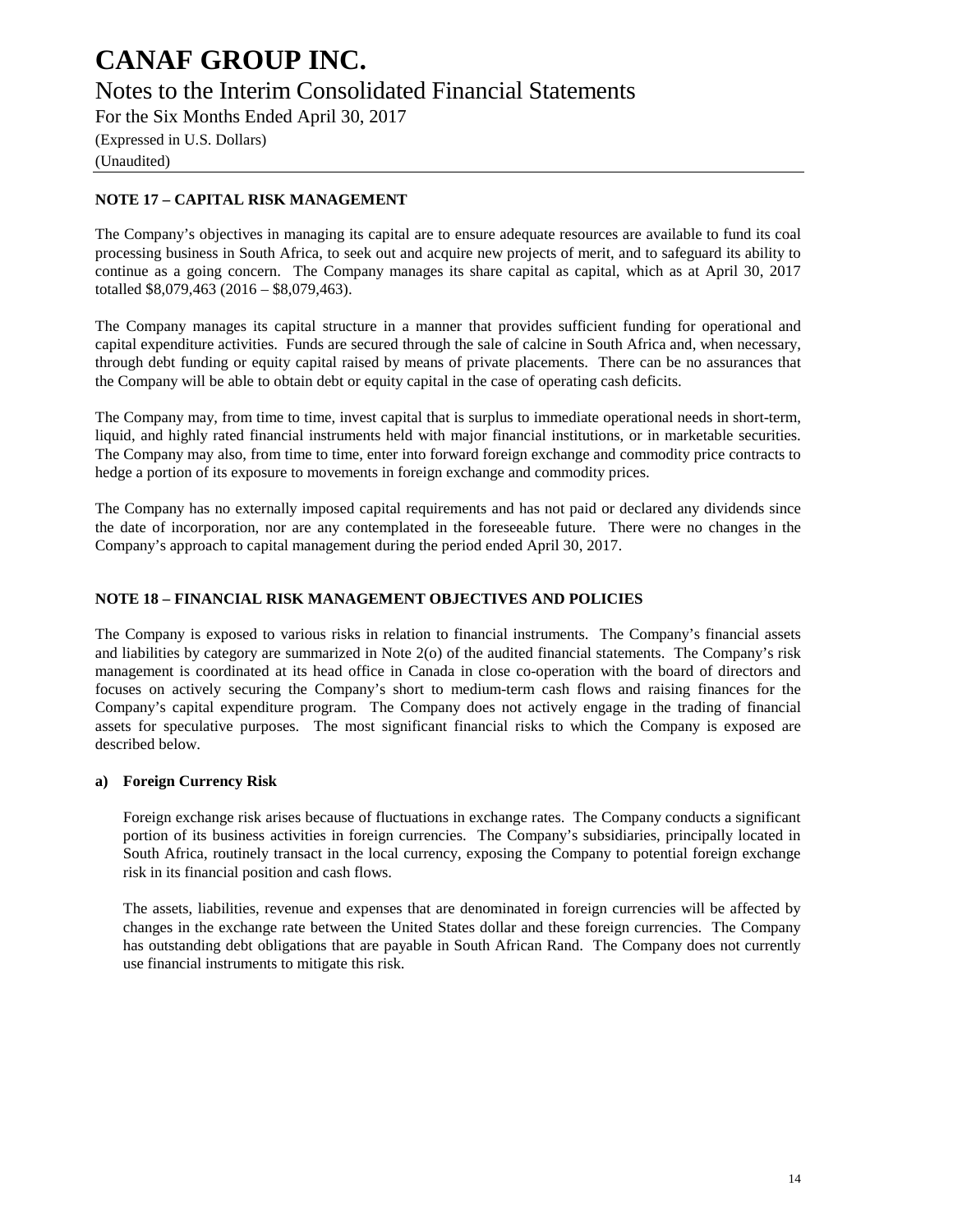Notes to the Interim Consolidated Financial Statements

For the Six Months Ended April 30, 2017

(Expressed in U.S. Dollars) (Unaudited)

## **NOTE 17 – CAPITAL RISK MANAGEMENT**

The Company's objectives in managing its capital are to ensure adequate resources are available to fund its coal processing business in South Africa, to seek out and acquire new projects of merit, and to safeguard its ability to continue as a going concern. The Company manages its share capital as capital, which as at April 30, 2017 totalled \$8,079,463 (2016 – \$8,079,463).

The Company manages its capital structure in a manner that provides sufficient funding for operational and capital expenditure activities. Funds are secured through the sale of calcine in South Africa and, when necessary, through debt funding or equity capital raised by means of private placements. There can be no assurances that the Company will be able to obtain debt or equity capital in the case of operating cash deficits.

The Company may, from time to time, invest capital that is surplus to immediate operational needs in short-term, liquid, and highly rated financial instruments held with major financial institutions, or in marketable securities. The Company may also, from time to time, enter into forward foreign exchange and commodity price contracts to hedge a portion of its exposure to movements in foreign exchange and commodity prices.

The Company has no externally imposed capital requirements and has not paid or declared any dividends since the date of incorporation, nor are any contemplated in the foreseeable future. There were no changes in the Company's approach to capital management during the period ended April 30, 2017.

### **NOTE 18 – FINANCIAL RISK MANAGEMENT OBJECTIVES AND POLICIES**

The Company is exposed to various risks in relation to financial instruments. The Company's financial assets and liabilities by category are summarized in Note 2(o) of the audited financial statements. The Company's risk management is coordinated at its head office in Canada in close co-operation with the board of directors and focuses on actively securing the Company's short to medium-term cash flows and raising finances for the Company's capital expenditure program. The Company does not actively engage in the trading of financial assets for speculative purposes. The most significant financial risks to which the Company is exposed are described below.

### **a) Foreign Currency Risk**

Foreign exchange risk arises because of fluctuations in exchange rates. The Company conducts a significant portion of its business activities in foreign currencies. The Company's subsidiaries, principally located in South Africa, routinely transact in the local currency, exposing the Company to potential foreign exchange risk in its financial position and cash flows.

The assets, liabilities, revenue and expenses that are denominated in foreign currencies will be affected by changes in the exchange rate between the United States dollar and these foreign currencies. The Company has outstanding debt obligations that are payable in South African Rand. The Company does not currently use financial instruments to mitigate this risk.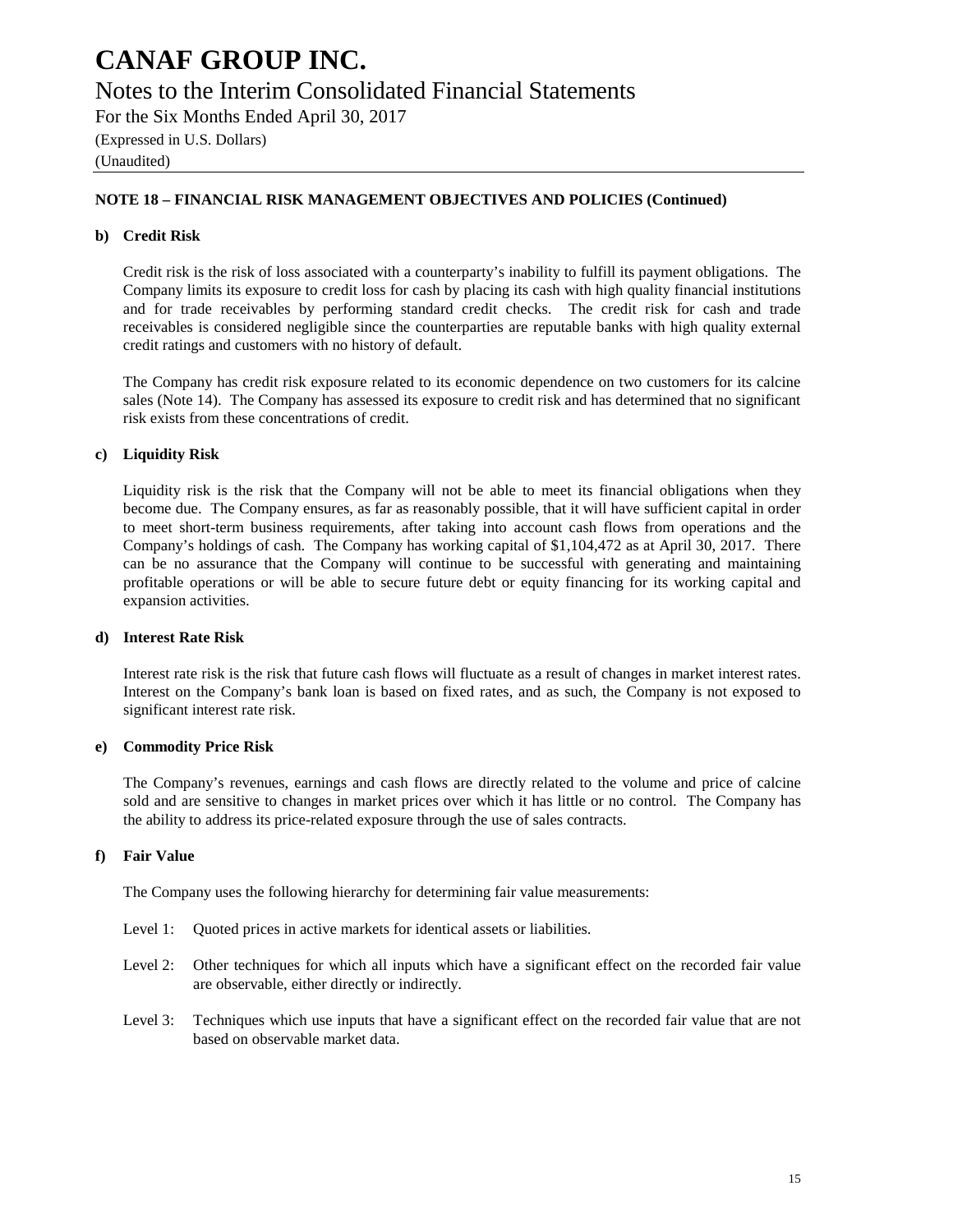## Notes to the Interim Consolidated Financial Statements

For the Six Months Ended April 30, 2017

(Expressed in U.S. Dollars)

(Unaudited)

### **NOTE 18 – FINANCIAL RISK MANAGEMENT OBJECTIVES AND POLICIES (Continued)**

### **b) Credit Risk**

Credit risk is the risk of loss associated with a counterparty's inability to fulfill its payment obligations. The Company limits its exposure to credit loss for cash by placing its cash with high quality financial institutions and for trade receivables by performing standard credit checks. The credit risk for cash and trade receivables is considered negligible since the counterparties are reputable banks with high quality external credit ratings and customers with no history of default.

The Company has credit risk exposure related to its economic dependence on two customers for its calcine sales (Note 14). The Company has assessed its exposure to credit risk and has determined that no significant risk exists from these concentrations of credit.

### **c) Liquidity Risk**

Liquidity risk is the risk that the Company will not be able to meet its financial obligations when they become due. The Company ensures, as far as reasonably possible, that it will have sufficient capital in order to meet short-term business requirements, after taking into account cash flows from operations and the Company's holdings of cash. The Company has working capital of \$1,104,472 as at April 30, 2017. There can be no assurance that the Company will continue to be successful with generating and maintaining profitable operations or will be able to secure future debt or equity financing for its working capital and expansion activities.

### **d) Interest Rate Risk**

Interest rate risk is the risk that future cash flows will fluctuate as a result of changes in market interest rates. Interest on the Company's bank loan is based on fixed rates, and as such, the Company is not exposed to significant interest rate risk.

### **e) Commodity Price Risk**

The Company's revenues, earnings and cash flows are directly related to the volume and price of calcine sold and are sensitive to changes in market prices over which it has little or no control. The Company has the ability to address its price-related exposure through the use of sales contracts.

### **f) Fair Value**

The Company uses the following hierarchy for determining fair value measurements:

- Level 1: Quoted prices in active markets for identical assets or liabilities.
- Level 2: Other techniques for which all inputs which have a significant effect on the recorded fair value are observable, either directly or indirectly.
- Level 3: Techniques which use inputs that have a significant effect on the recorded fair value that are not based on observable market data.